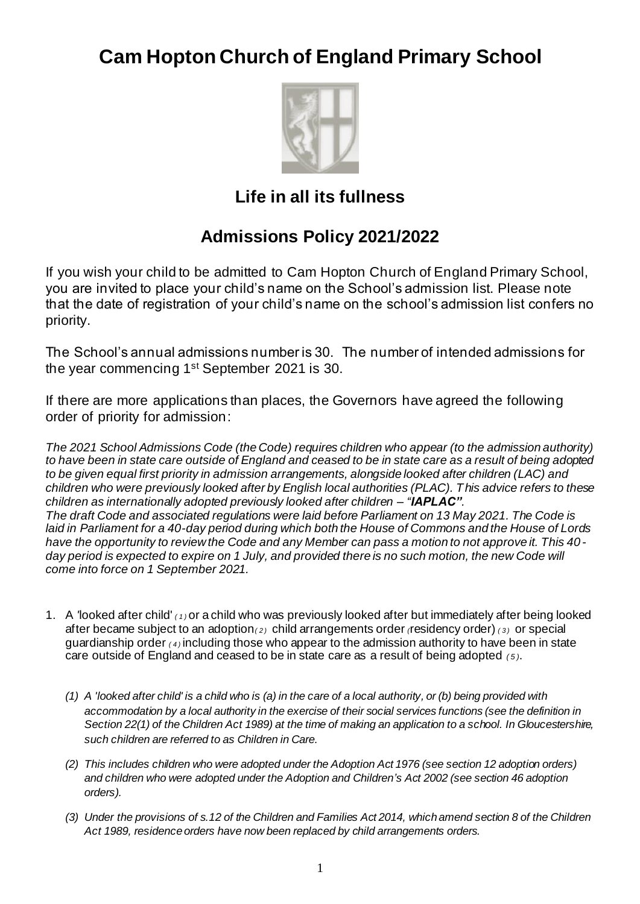# **Cam Hopton Church of England Primary School**



# **Life in all its fullness**

# **Admissions Policy 2021/2022**

If you wish your child to be admitted to Cam Hopton Church of England Primary School, you are invited to place your child's name on the School's admission list. Please note that the date of registration of your child's name on the school's admission list confers no priority.

The School's annual admissions number is 30. The number of intended admissions for the year commencing 1st September 2021 is 30.

If there are more applications than places, the Governors have agreed the following order of priority for admission:

*The 2021 School Admissions Code (the Code) requires children who appear (to the admission authority) to have been in state care outside of England and ceased to be in state care as a result of being adopted to be given equal first priority in admission arrangements, alongside looked after children (LAC) and children who were previously looked after by English local authorities (PLAC). This advice refers to these children as internationally adopted previously looked after children – "IAPLAC". The draft Code and associated regulations were laid before Parliament on 13 May 2021. The Code is laid in Parliament for a 40-day period during which both the House of Commons and the House of Lords have the opportunity to review the Code and any Member can pass a motion to not approve it. This 40 day period is expected to expire on 1 July, and provided there is no such motion, the new Code will come into force on 1 September 2021.*

- 1. A *'*looked after child' *( 1 )* or a child who was previously looked after but immediately after being looked after became subject to an adoption*( 2 )* child arrangements order *(*residency order) *( 3 )* or special guardianship order *( 4 )* including those who appear to the admission authority to have been in state care outside of England and ceased to be in state care as a result of being adopted *( 5 )*.
	- *(1) A 'looked after child' is a child who is (a) in the care of a local authority, or (b) being provided with accommodation by a local authority in the exercise of their social services functions (see the definition in Section 22(1) of the Children Act 1989) at the time of making an application to a school. In Gloucestershire, such children are referred to as Children in Care.*
	- *(2) This includes children who were adopted under the Adoption Act 1976 (see section 12 adoption orders) and children who were adopted under the Adoption and Children's Act 2002 (see section 46 adoption orders).*
	- *(3) Under the provisions of s.12 of the Children and Families Act 2014, which amend section 8 of the Children Act 1989, residence orders have now been replaced by child arrangements orders.*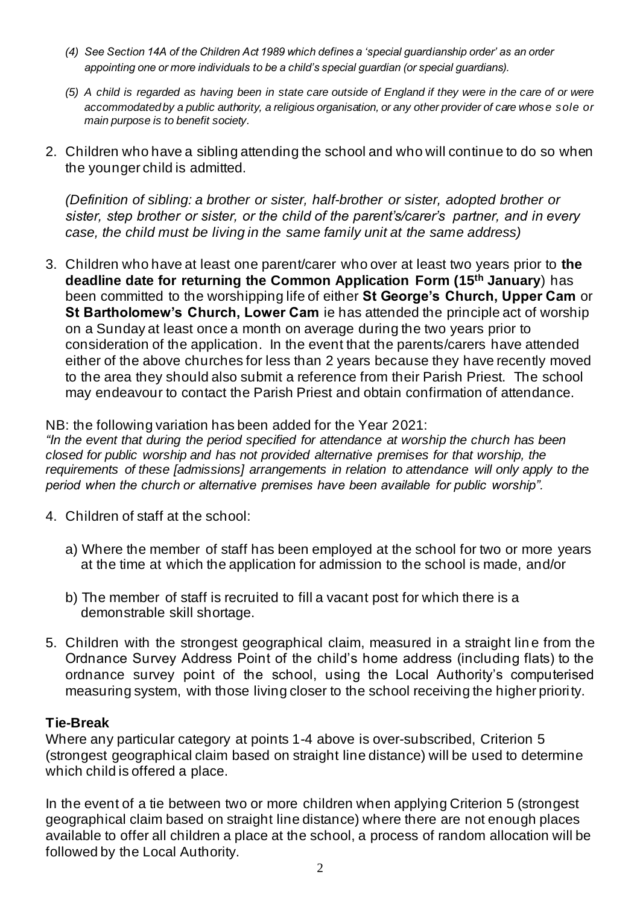- *(4) See Section 14A of the Children Act 1989 which defines a 'special guardianship order' as an order appointing one or more individuals to be a child's special guardian (or special guardians).*
- *(5) A child is regarded as having been in state care outside of England if they were in the care of or were accommodated by a public authority, a religious organisation, or any other provider of care whose sole or main purpose is to benefit society.*
- 2. Children who have a sibling attending the school and who will continue to do so when the younger child is admitted.

*(Definition of sibling: a brother or sister, half-brother or sister, adopted brother or sister, step brother or sister, or the child of the parent's/carer's partner, and in every case, the child must be living in the same family unit at the same address)*

3. Children who have at least one parent/carer who over at least two years prior to **the deadline date for returning the Common Application Form (15th January**) has been committed to the worshipping life of either **St George's Church, Upper Cam** or **St Bartholomew's Church, Lower Cam** ie has attended the principle act of worship on a Sunday at least once a month on average during the two years prior to consideration of the application. In the event that the parents/carers have attended either of the above churches for less than 2 years because they have recently moved to the area they should also submit a reference from their Parish Priest. The school may endeavour to contact the Parish Priest and obtain confirmation of attendance.

#### NB: the following variation has been added for the Year 2021:

*"In the event that during the period specified for attendance at worship the church has been closed for public worship and has not provided alternative premises for that worship, the requirements of these [admissions] arrangements in relation to attendance will only apply to the period when the church or alternative premises have been available for public worship".*

- 4. Children of staff at the school:
	- a) Where the member of staff has been employed at the school for two or more years at the time at which the application for admission to the school is made, and/or
	- b) The member of staff is recruited to fill a vacant post for which there is a demonstrable skill shortage.
- 5. Children with the strongest geographical claim, measured in a straight lin e from the Ordnance Survey Address Point of the child's home address (including flats) to the ordnance survey point of the school, using the Local Authority's computerised measuring system, with those living closer to the school receiving the higher priority.

#### **Tie-Break**

Where any particular category at points 1-4 above is over-subscribed, Criterion 5 (strongest geographical claim based on straight line distance) will be used to determine which child is offered a place.

In the event of a tie between two or more children when applying Criterion 5 (strongest geographical claim based on straight line distance) where there are not enough places available to offer all children a place at the school, a process of random allocation will be followed by the Local Authority.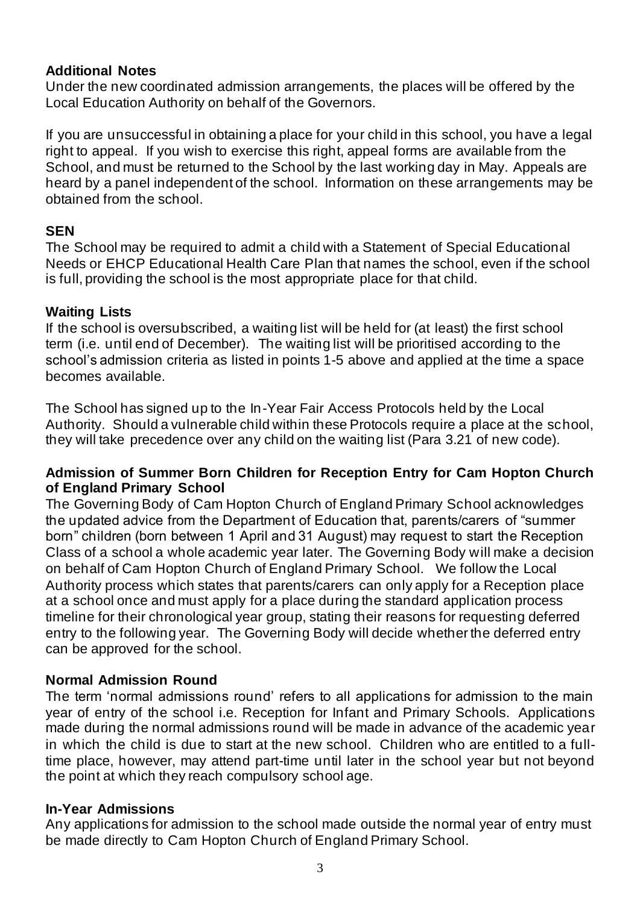# **Additional Notes**

Under the new coordinated admission arrangements, the places will be offered by the Local Education Authority on behalf of the Governors.

If you are unsuccessful in obtaining a place for your child in this school, you have a legal right to appeal. If you wish to exercise this right, appeal forms are available from the School, and must be returned to the School by the last working day in May. Appeals are heard by a panel independent of the school. Information on these arrangements may be obtained from the school.

# **SEN**

The School may be required to admit a child with a Statement of Special Educational Needs or EHCP Educational Health Care Plan that names the school, even if the school is full, providing the school is the most appropriate place for that child.

## **Waiting Lists**

If the school is oversubscribed, a waiting list will be held for (at least) the first school term (i.e. until end of December). The waiting list will be prioritised according to the school's admission criteria as listed in points 1-5 above and applied at the time a space becomes available.

The School has signed up to the In-Year Fair Access Protocols held by the Local Authority. Should a vulnerable child within these Protocols require a place at the school, they will take precedence over any child on the waiting list (Para 3.21 of new code).

## **Admission of Summer Born Children for Reception Entry for Cam Hopton Church of England Primary School**

The Governing Body of Cam Hopton Church of England Primary School acknowledges the updated advice from the Department of Education that, parents/carers of "summer born" children (born between 1 April and 31 August) may request to start the Reception Class of a school a whole academic year later. The Governing Body will make a decision on behalf of Cam Hopton Church of England Primary School. We follow the Local Authority process which states that parents/carers can only apply for a Reception place at a school once and must apply for a place during the standard appl ication process timeline for their chronological year group, stating their reasons for requesting deferred entry to the following year. The Governing Body will decide whether the deferred entry can be approved for the school.

## **Normal Admission Round**

The term 'normal admissions round' refers to all applications for admission to the main year of entry of the school i.e. Reception for Infant and Primary Schools. Applications made during the normal admissions round will be made in advance of the academic year in which the child is due to start at the new school. Children who are entitled to a fulltime place, however, may attend part-time until later in the school year but not beyond the point at which they reach compulsory school age.

## **In-Year Admissions**

Any applications for admission to the school made outside the normal year of entry must be made directly to Cam Hopton Church of England Primary School.